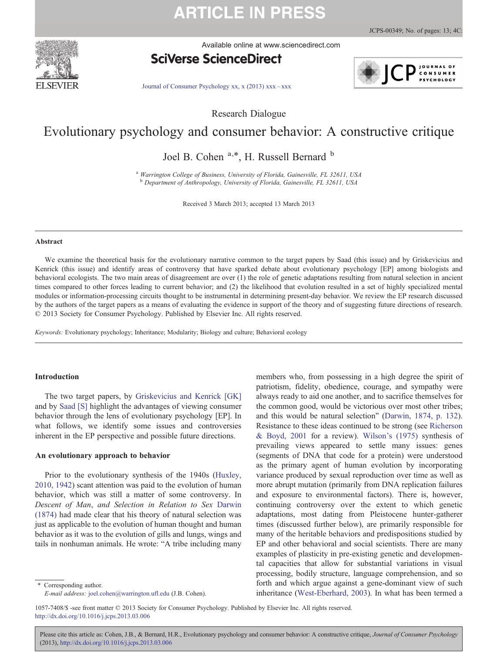**ARTICLE IN PRESS** 



Available online at www.sciencedirect.com

**SciVerse ScienceDirect** 





[Journal of Consumer Psychology xx, x \(2013\) xxx](http://dx.doi.org/10.1016/j.jcps.2013.03.006)–xxx

Research Dialogue

### Evolutionary psychology and consumer behavior: A constructive critique

Joel B. Cohen <sup>a,\*</sup>, H. Russell Bernard <sup>b</sup>

<sup>a</sup> Warrington College of Business, University of Florida, Gainesville, FL 32611, USA <sup>b</sup> Department of Anthropology, University of Florida, Gainesville, FL 32611, USA

Received 3 March 2013; accepted 13 March 2013

#### Abstract

We examine the theoretical basis for the evolutionary narrative common to the target papers by Saad (this issue) and by Griskevicius and Kenrick (this issue) and identify areas of controversy that have sparked debate about evolutionary psychology [EP] among biologists and behavioral ecologists. The two main areas of disagreement are over (1) the role of genetic adaptations resulting from natural selection in ancient times compared to other forces leading to current behavior; and (2) the likelihood that evolution resulted in a set of highly specialized mental modules or information-processing circuits thought to be instrumental in determining present-day behavior. We review the EP research discussed by the authors of the target papers as a means of evaluating the evidence in support of the theory and of suggesting future directions of research. © 2013 Society for Consumer Psychology. Published by Elsevier Inc. All rights reserved.

Keywords: Evolutionary psychology; Inheritance; Modularity; Biology and culture; Behavioral ecology

#### Introduction

The two target papers, by [Griskevicius and Kenrick \[GK\]](#page--1-0) and by [Saad \[S\]](#page--1-0) highlight the advantages of viewing consumer behavior through the lens of evolutionary psychology [EP]. In what follows, we identify some issues and controversies inherent in the EP perspective and possible future directions.

#### An evolutionary approach to behavior

Prior to the evolutionary synthesis of the 1940s ([Huxley,](#page--1-0) [2010, 1942\)](#page--1-0) scant attention was paid to the evolution of human behavior, which was still a matter of some controversy. In Descent of Man, and Selection in Relation to Sex [Darwin](#page--1-0) [\(1874\)](#page--1-0) had made clear that his theory of natural selection was just as applicable to the evolution of human thought and human behavior as it was to the evolution of gills and lungs, wings and tails in nonhuman animals. He wrote: "A tribe including many patriotism, fidelity, obedience, courage, and sympathy were always ready to aid one another, and to sacrifice themselves for the common good, would be victorious over most other tribes; and this would be natural selection" ([Darwin, 1874, p. 132\)](#page--1-0). Resistance to these ideas continued to be strong (see [Richerson](#page--1-0) [& Boyd, 2001](#page--1-0) for a review). [Wilson's \(1975\)](#page--1-0) synthesis of prevailing views appeared to settle many issues: genes (segments of DNA that code for a protein) were understood as the primary agent of human evolution by incorporating variance produced by sexual reproduction over time as well as more abrupt mutation (primarily from DNA replication failures and exposure to environmental factors). There is, however, continuing controversy over the extent to which genetic adaptations, most dating from Pleistocene hunter-gatherer times (discussed further below), are primarily responsible for many of the heritable behaviors and predispositions studied by EP and other behavioral and social scientists. There are many examples of plasticity in pre-existing genetic and developmental capacities that allow for substantial variations in visual processing, bodily structure, language comprehension, and so forth and which argue against a gene-dominant view of such inheritance ([West-Eberhard, 2003\)](#page--1-0). In what has been termed a

members who, from possessing in a high degree the spirit of

⁎ Corresponding author.

E-mail address: [joel.cohen@warrington.u](mailto:joel.cohen@warrington.ufl.edu)fl.edu (J.B. Cohen).

1057-7408/\$ -see front matter © 2013 Society for Consumer Psychology. Published by Elsevier Inc. All rights reserved. <http://dx.doi.org/10.1016/j.jcps.2013.03.006>

Please cite this article as: Cohen, J.B., & Bernard, H.R., Evolutionary psychology and consumer behavior: A constructive critique, Journal of Consumer Psychology (2013), <http://dx.doi.org/10.1016/j.jcps.2013.03.006>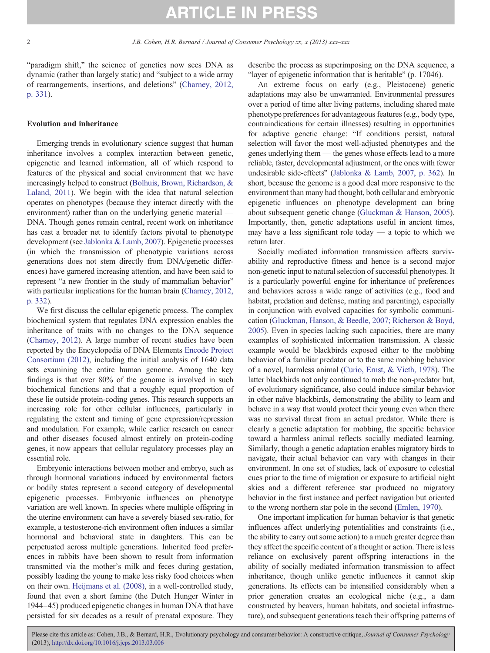# **ARTICLE IN PRESS**

"paradigm shift," the science of genetics now sees DNA as dynamic (rather than largely static) and "subject to a wide array of rearrangements, insertions, and deletions" [\(Charney, 2012,](#page--1-0) [p. 331](#page--1-0)).

#### Evolution and inheritance

Emerging trends in evolutionary science suggest that human inheritance involves a complex interaction between genetic, epigenetic and learned information, all of which respond to features of the physical and social environment that we have increasingly helped to construct ([Bolhuis, Brown, Richardson, &](#page--1-0) [Laland, 2011](#page--1-0)). We begin with the idea that natural selection operates on phenotypes (because they interact directly with the environment) rather than on the underlying genetic material — DNA. Though genes remain central, recent work on inheritance has cast a broader net to identify factors pivotal to phenotype development (see [Jablonka & Lamb, 2007\)](#page--1-0). Epigenetic processes (in which the transmission of phenotypic variations across generations does not stem directly from DNA/genetic differences) have garnered increasing attention, and have been said to represent "a new frontier in the study of mammalian behavior" with particular implications for the human brain ([Charney, 2012,](#page--1-0) [p. 332](#page--1-0)).

We first discuss the cellular epigenetic process. The complex biochemical system that regulates DNA expression enables the inheritance of traits with no changes to the DNA sequence ([Charney, 2012\)](#page--1-0). A large number of recent studies have been reported by the Encyclopedia of DNA Elements [Encode Project](#page--1-0) [Consortium \(2012\)](#page--1-0), including the initial analysis of 1640 data sets examining the entire human genome. Among the key findings is that over 80% of the genome is involved in such biochemical functions and that a roughly equal proportion of these lie outside protein-coding genes. This research supports an increasing role for other cellular influences, particularly in regulating the extent and timing of gene expression/repression and modulation. For example, while earlier research on cancer and other diseases focused almost entirely on protein-coding genes, it now appears that cellular regulatory processes play an essential role.

Embryonic interactions between mother and embryo, such as through hormonal variations induced by environmental factors or bodily states represent a second category of developmental epigenetic processes. Embryonic influences on phenotype variation are well known. In species where multiple offspring in the uterine environment can have a severely biased sex-ratio, for example, a testosterone-rich environment often induces a similar hormonal and behavioral state in daughters. This can be perpetuated across multiple generations. Inherited food preferences in rabbits have been shown to result from information transmitted via the mother's milk and feces during gestation, possibly leading the young to make less risky food choices when on their own. [Heijmans et al. \(2008\),](#page--1-0) in a well-controlled study, found that even a short famine (the Dutch Hunger Winter in 1944–45) produced epigenetic changes in human DNA that have persisted for six decades as a result of prenatal exposure. They

describe the process as superimposing on the DNA sequence, a "layer of epigenetic information that is heritable" (p. 17046).

An extreme focus on early (e.g., Pleistocene) genetic adaptations may also be unwarranted. Environmental pressures over a period of time alter living patterns, including shared mate phenotype preferences for advantageous features (e.g., body type, contraindications for certain illnesses) resulting in opportunities for adaptive genetic change: "If conditions persist, natural selection will favor the most well-adjusted phenotypes and the genes underlying them — the genes whose effects lead to a more reliable, faster, developmental adjustment, or the ones with fewer undesirable side-effects" [\(Jablonka & Lamb, 2007, p. 362](#page--1-0)). In short, because the genome is a good deal more responsive to the environment than many had thought, both cellular and embryonic epigenetic influences on phenotype development can bring about subsequent genetic change ([Gluckman & Hanson, 2005](#page--1-0)). Importantly, then, genetic adaptations useful in ancient times, may have a less significant role today  $-$  a topic to which we return later.

Socially mediated information transmission affects survivability and reproductive fitness and hence is a second major non-genetic input to natural selection of successful phenotypes. It is a particularly powerful engine for inheritance of preferences and behaviors across a wide range of activities (e.g., food and habitat, predation and defense, mating and parenting), especially in conjunction with evolved capacities for symbolic communication ([Gluckman, Hanson, & Beedle, 2007; Richerson & Boyd,](#page--1-0) [2005](#page--1-0)). Even in species lacking such capacities, there are many examples of sophisticated information transmission. A classic example would be blackbirds exposed either to the mobbing behavior of a familiar predator or to the same mobbing behavior of a novel, harmless animal ([Curio, Ernst, & Vieth, 1978\)](#page--1-0). The latter blackbirds not only continued to mob the non-predator but, of evolutionary significance, also could induce similar behavior in other naïve blackbirds, demonstrating the ability to learn and behave in a way that would protect their young even when there was no survival threat from an actual predator. While there is clearly a genetic adaptation for mobbing, the specific behavior toward a harmless animal reflects socially mediated learning. Similarly, though a genetic adaptation enables migratory birds to navigate, their actual behavior can vary with changes in their environment. In one set of studies, lack of exposure to celestial cues prior to the time of migration or exposure to artificial night skies and a different reference star produced no migratory behavior in the first instance and perfect navigation but oriented to the wrong northern star pole in the second ([Emlen, 1970\)](#page--1-0).

One important implication for human behavior is that genetic influences affect underlying potentialities and constraints (i.e., the ability to carry out some action) to a much greater degree than they affect the specific content of a thought or action. There is less reliance on exclusively parent–offspring interactions in the ability of socially mediated information transmission to affect inheritance, though unlike genetic influences it cannot skip generations. Its effects can be intensified considerably when a prior generation creates an ecological niche (e.g., a dam constructed by beavers, human habitats, and societal infrastructure), and subsequent generations teach their offspring patterns of

Please cite this article as: Cohen, J.B., & Bernard, H.R., Evolutionary psychology and consumer behavior: A constructive critique, Journal of Consumer Psychology (2013), <http://dx.doi.org/10.1016/j.jcps.2013.03.006>